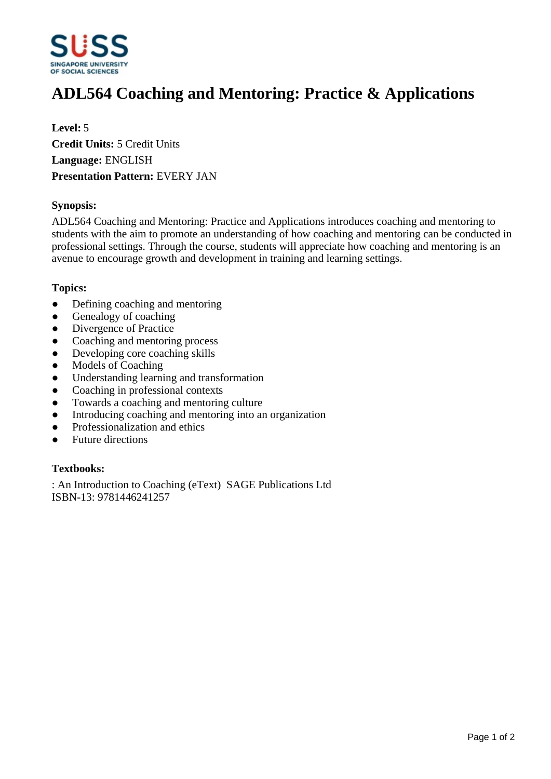

# **ADL564 Coaching and Mentoring: Practice & Applications**

**Level:** 5 **Credit Units:** 5 Credit Units **Language:** ENGLISH **Presentation Pattern:** EVERY JAN

#### **Synopsis:**

ADL564 Coaching and Mentoring: Practice and Applications introduces coaching and mentoring to students with the aim to promote an understanding of how coaching and mentoring can be conducted in professional settings. Through the course, students will appreciate how coaching and mentoring is an avenue to encourage growth and development in training and learning settings.

#### **Topics:**

- Defining coaching and mentoring
- Genealogy of coaching
- Divergence of Practice
- Coaching and mentoring process
- Developing core coaching skills
- Models of Coaching
- Understanding learning and transformation
- Coaching in professional contexts
- Towards a coaching and mentoring culture
- Introducing coaching and mentoring into an organization
- Professionalization and ethics
- Future directions

### **Textbooks:**

: An Introduction to Coaching (eText) SAGE Publications Ltd ISBN-13: 9781446241257